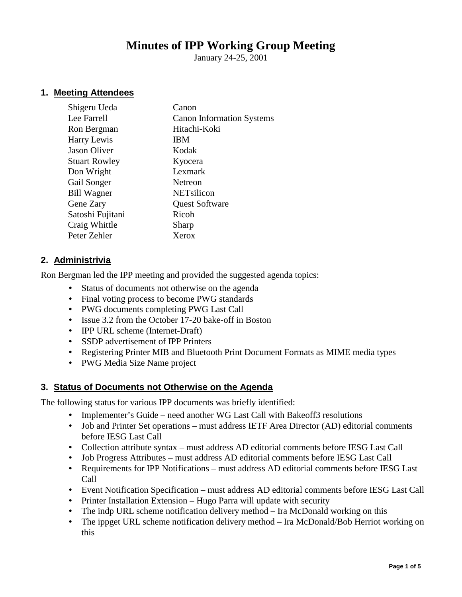# **Minutes of IPP Working Group Meeting**

January 24-25, 2001

## **1. Meeting Attendees**

| Shigeru Ueda         | Canon                            |
|----------------------|----------------------------------|
| Lee Farrell          | <b>Canon Information Systems</b> |
| Ron Bergman          | Hitachi-Koki                     |
| Harry Lewis          | <b>IBM</b>                       |
| <b>Jason Oliver</b>  | Kodak                            |
| <b>Stuart Rowley</b> | Kyocera                          |
| Don Wright           | Lexmark                          |
| Gail Songer          | Netreon                          |
| <b>Bill Wagner</b>   | NETsilicon                       |
| Gene Zary            | <b>Quest Software</b>            |
| Satoshi Fujitani     | Ricoh                            |
| Craig Whittle        | Sharp                            |
| Peter Zehler         | Xerox                            |
|                      |                                  |

#### **2. Administrivia**

Ron Bergman led the IPP meeting and provided the suggested agenda topics:

- Status of documents not otherwise on the agenda
- Final voting process to become PWG standards
- PWG documents completing PWG Last Call
- Issue 3.2 from the October 17-20 bake-off in Boston
- **IPP URL** scheme (Internet-Draft)
- SSDP advertisement of IPP Printers
- Registering Printer MIB and Bluetooth Print Document Formats as MIME media types
- PWG Media Size Name project

#### **3. Status of Documents not Otherwise on the Agenda**

The following status for various IPP documents was briefly identified:

- Implementer's Guide need another WG Last Call with Bakeoff3 resolutions
- Job and Printer Set operations must address IETF Area Director (AD) editorial comments before IESG Last Call
- Collection attribute syntax must address AD editorial comments before IESG Last Call
- Job Progress Attributes must address AD editorial comments before IESG Last Call
- Requirements for IPP Notifications must address AD editorial comments before IESG Last Call
- Event Notification Specification must address AD editorial comments before IESG Last Call
- Printer Installation Extension Hugo Parra will update with security
- The indp URL scheme notification delivery method Ira McDonald working on this
- The ippget URL scheme notification delivery method Ira McDonald/Bob Herriot working on this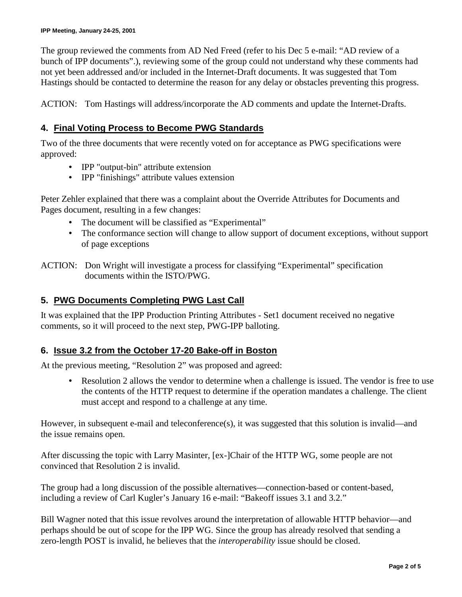The group reviewed the comments from AD Ned Freed (refer to his Dec 5 e-mail: "AD review of a bunch of IPP documents".), reviewing some of the group could not understand why these comments had not yet been addressed and/or included in the Internet-Draft documents. It was suggested that Tom Hastings should be contacted to determine the reason for any delay or obstacles preventing this progress.

ACTION: Tom Hastings will address/incorporate the AD comments and update the Internet-Drafts.

## **4. Final Voting Process to Become PWG Standards**

Two of the three documents that were recently voted on for acceptance as PWG specifications were approved:

- IPP "output-bin" attribute extension
- IPP "finishings" attribute values extension

Peter Zehler explained that there was a complaint about the Override Attributes for Documents and Pages document, resulting in a few changes:

- The document will be classified as "Experimental"
- The conformance section will change to allow support of document exceptions, without support of page exceptions

ACTION: Don Wright will investigate a process for classifying "Experimental" specification documents within the ISTO/PWG.

## **5. PWG Documents Completing PWG Last Call**

It was explained that the IPP Production Printing Attributes - Set1 document received no negative comments, so it will proceed to the next step, PWG-IPP balloting.

# **6. Issue 3.2 from the October 17-20 Bake-off in Boston**

At the previous meeting, "Resolution 2" was proposed and agreed:

• Resolution 2 allows the vendor to determine when a challenge is issued. The vendor is free to use the contents of the HTTP request to determine if the operation mandates a challenge. The client must accept and respond to a challenge at any time.

However, in subsequent e-mail and teleconference(s), it was suggested that this solution is invalid—and the issue remains open.

After discussing the topic with Larry Masinter, [ex-]Chair of the HTTP WG, some people are not convinced that Resolution 2 is invalid.

The group had a long discussion of the possible alternatives—connection-based or content-based, including a review of Carl Kugler's January 16 e-mail: "Bakeoff issues 3.1 and 3.2."

Bill Wagner noted that this issue revolves around the interpretation of allowable HTTP behavior—and perhaps should be out of scope for the IPP WG. Since the group has already resolved that sending a zero-length POST is invalid, he believes that the *interoperability* issue should be closed.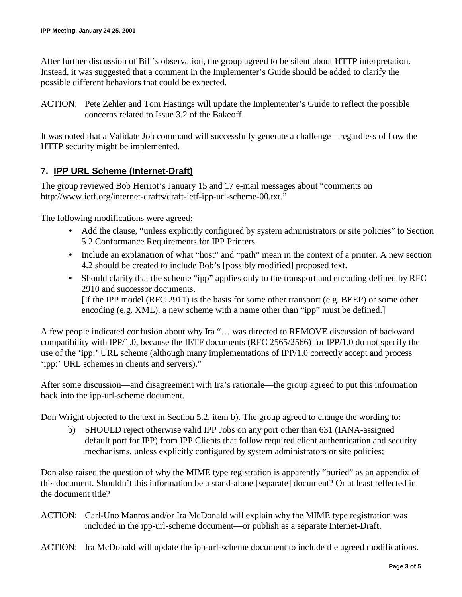After further discussion of Bill's observation, the group agreed to be silent about HTTP interpretation. Instead, it was suggested that a comment in the Implementer's Guide should be added to clarify the possible different behaviors that could be expected.

ACTION: Pete Zehler and Tom Hastings will update the Implementer's Guide to reflect the possible concerns related to Issue 3.2 of the Bakeoff.

It was noted that a Validate Job command will successfully generate a challenge—regardless of how the HTTP security might be implemented.

# **7. IPP URL Scheme (Internet-Draft)**

The group reviewed Bob Herriot's January 15 and 17 e-mail messages about "comments on http://www.ietf.org/internet-drafts/draft-ietf-ipp-url-scheme-00.txt."

The following modifications were agreed:

- Add the clause, "unless explicitly configured by system administrators or site policies" to Section 5.2 Conformance Requirements for IPP Printers.
- Include an explanation of what "host" and "path" mean in the context of a printer. A new section 4.2 should be created to include Bob's [possibly modified] proposed text.
- Should clarify that the scheme "ipp" applies only to the transport and encoding defined by RFC 2910 and successor documents. [If the IPP model (RFC 2911) is the basis for some other transport (e.g. BEEP) or some other encoding (e.g. XML), a new scheme with a name other than "ipp" must be defined.]

A few people indicated confusion about why Ira "… was directed to REMOVE discussion of backward compatibility with IPP/1.0, because the IETF documents (RFC 2565/2566) for IPP/1.0 do not specify the use of the 'ipp:' URL scheme (although many implementations of IPP/1.0 correctly accept and process 'ipp:' URL schemes in clients and servers)."

After some discussion—and disagreement with Ira's rationale—the group agreed to put this information back into the ipp-url-scheme document.

Don Wright objected to the text in Section 5.2, item b). The group agreed to change the wording to:

b) SHOULD reject otherwise valid IPP Jobs on any port other than 631 (IANA-assigned default port for IPP) from IPP Clients that follow required client authentication and security mechanisms, unless explicitly configured by system administrators or site policies;

Don also raised the question of why the MIME type registration is apparently "buried" as an appendix of this document. Shouldn't this information be a stand-alone [separate] document? Or at least reflected in the document title?

- ACTION: Carl-Uno Manros and/or Ira McDonald will explain why the MIME type registration was included in the ipp-url-scheme document—or publish as a separate Internet-Draft.
- ACTION: Ira McDonald will update the ipp-url-scheme document to include the agreed modifications.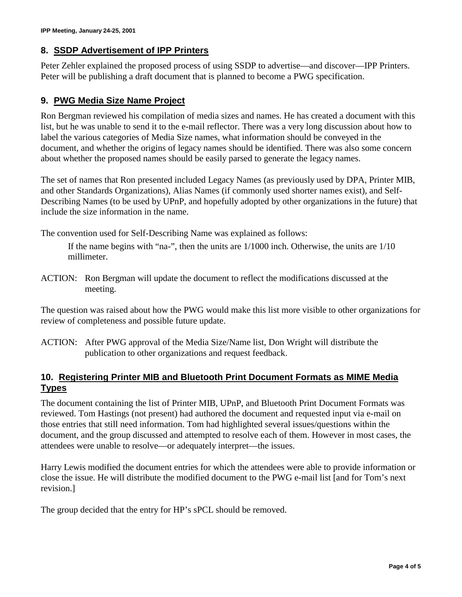## **8. SSDP Advertisement of IPP Printers**

Peter Zehler explained the proposed process of using SSDP to advertise—and discover—IPP Printers. Peter will be publishing a draft document that is planned to become a PWG specification.

## **9. PWG Media Size Name Project**

Ron Bergman reviewed his compilation of media sizes and names. He has created a document with this list, but he was unable to send it to the e-mail reflector. There was a very long discussion about how to label the various categories of Media Size names, what information should be conveyed in the document, and whether the origins of legacy names should be identified. There was also some concern about whether the proposed names should be easily parsed to generate the legacy names.

The set of names that Ron presented included Legacy Names (as previously used by DPA, Printer MIB, and other Standards Organizations), Alias Names (if commonly used shorter names exist), and Self-Describing Names (to be used by UPnP, and hopefully adopted by other organizations in the future) that include the size information in the name.

The convention used for Self-Describing Name was explained as follows:

If the name begins with "na-", then the units are 1/1000 inch. Otherwise, the units are 1/10 millimeter.

ACTION: Ron Bergman will update the document to reflect the modifications discussed at the meeting.

The question was raised about how the PWG would make this list more visible to other organizations for review of completeness and possible future update.

ACTION: After PWG approval of the Media Size/Name list, Don Wright will distribute the publication to other organizations and request feedback.

## **10. Registering Printer MIB and Bluetooth Print Document Formats as MIME Media Types**

The document containing the list of Printer MIB, UPnP, and Bluetooth Print Document Formats was reviewed. Tom Hastings (not present) had authored the document and requested input via e-mail on those entries that still need information. Tom had highlighted several issues/questions within the document, and the group discussed and attempted to resolve each of them. However in most cases, the attendees were unable to resolve—or adequately interpret—the issues.

Harry Lewis modified the document entries for which the attendees were able to provide information or close the issue. He will distribute the modified document to the PWG e-mail list [and for Tom's next revision.]

The group decided that the entry for HP's sPCL should be removed.